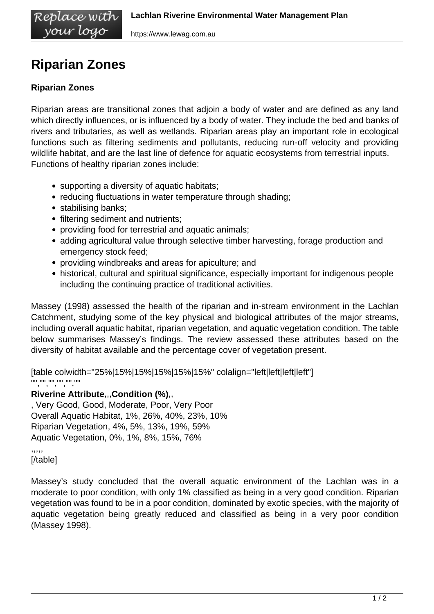https://www.lewag.com.au

# **Riparian Zones**

Replace with vour logo

## **Riparian Zones**

Riparian areas are transitional zones that adjoin a body of water and are defined as any land which directly influences, or is influenced by a body of water. They include the bed and banks of rivers and tributaries, as well as wetlands. Riparian areas play an important role in ecological functions such as filtering sediments and pollutants, reducing run-off velocity and providing wildlife habitat, and are the last line of defence for aquatic ecosystems from terrestrial inputs. Functions of healthy riparian zones include:

- supporting a diversity of aquatic habitats;
- reducing fluctuations in water temperature through shading;
- stabilising banks;
- filtering sediment and nutrients;
- providing food for terrestrial and aquatic animals;
- adding agricultural value through selective timber harvesting, forage production and emergency stock feed;
- providing windbreaks and areas for apiculture; and
- historical, cultural and spiritual significance, especially important for indigenous people including the continuing practice of traditional activities.

Massey (1998) assessed the health of the riparian and in-stream environment in the Lachlan Catchment, studying some of the key physical and biological attributes of the major streams, including overall aquatic habitat, riparian vegetation, and aquatic vegetation condition. The table below summarises Massey's findings. The review assessed these attributes based on the diversity of habitat available and the percentage cover of vegetation present.

#### [table colwidth="25%|15%|15%|15%|15%|15%" colalign="left|left|left|left"] ", ", ", ", ", ", "

## **Riverine Attribute**,,,**Condition (%)**,,

, Very Good, Good, Moderate, Poor, Very Poor Overall Aquatic Habitat, 1%, 26%, 40%, 23%, 10% Riparian Vegetation, 4%, 5%, 13%, 19%, 59% Aquatic Vegetation, 0%, 1%, 8%, 15%, 76%

# ,,,,,

[/table]

Massey's study concluded that the overall aquatic environment of the Lachlan was in a moderate to poor condition, with only 1% classified as being in a very good condition. Riparian vegetation was found to be in a poor condition, dominated by exotic species, with the majority of aquatic vegetation being greatly reduced and classified as being in a very poor condition (Massey 1998).